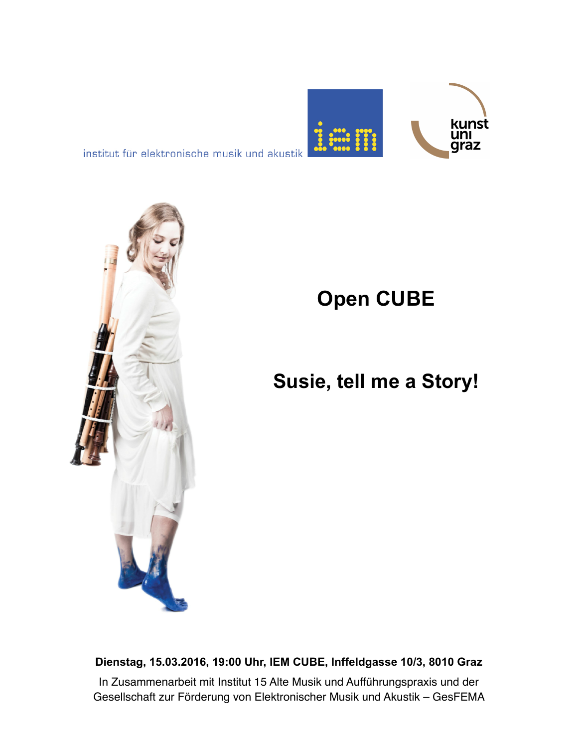

institut für elektronische musik und akustik



# **Open CUBE**

## **Susie, tell me a Story!**

**Dienstag, 15.03.2016, 19:00 Uhr, IEM CUBE, Inffeldgasse 10/3, 8010 Graz** In Zusammenarbeit mit Institut 15 Alte Musik und Aufführungspraxis und der Gesellschaft zur Förderung von Elektronischer Musik und Akustik – GesFEMA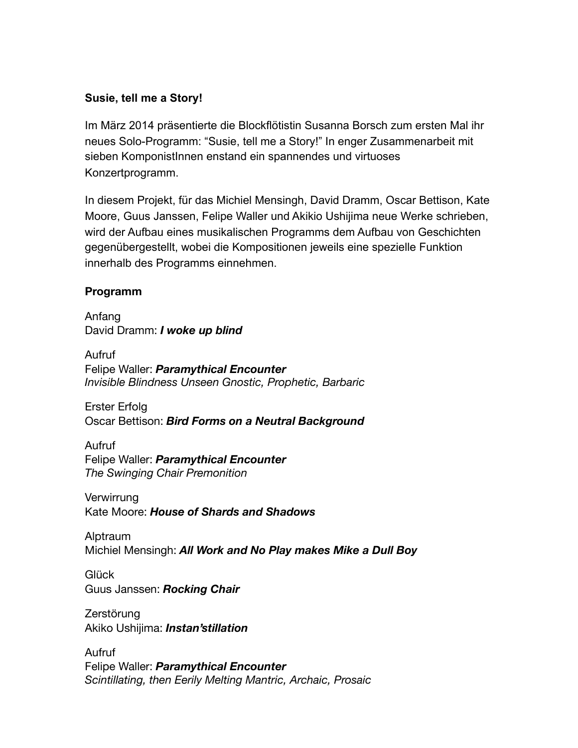#### **Susie, tell me a Story!**

Im März 2014 präsentierte die Blockflötistin Susanna Borsch zum ersten Mal ihr neues Solo-Programm: "Susie, tell me a Story!" In enger Zusammenarbeit mit sieben KomponistInnen enstand ein spannendes und virtuoses Konzertprogramm.

In diesem Projekt, für das Michiel Mensingh, David Dramm, Oscar Bettison, Kate Moore, Guus Janssen, Felipe Waller und Akikio Ushijima neue Werke schrieben, wird der Aufbau eines musikalischen Programms dem Aufbau von Geschichten gegenübergestellt, wobei die Kompositionen jeweils eine spezielle Funktion innerhalb des Programms einnehmen.

#### **Programm**

Anfang David Dramm: *I woke up blind*

Aufruf Felipe Waller: *Paramythical Encounter Invisible Blindness Unseen Gnostic, Prophetic, Barbaric*

Erster Erfolg Oscar Bettison: *Bird Forms on a Neutral Background*

Aufruf Felipe Waller: *Paramythical Encounter The Swinging Chair Premonition*

Verwirrung Kate Moore: *House of Shards and Shadows* 

Alptraum Michiel Mensingh: *All Work and No Play makes Mike a Dull Boy*

Glück Guus Janssen: *Rocking Chair*

Zerstörung Akiko Ushijima: *Instan'stillation*

Aufruf Felipe Waller: *Paramythical Encounter Scintillating, then Eerily Melting Mantric, Archaic, Prosaic*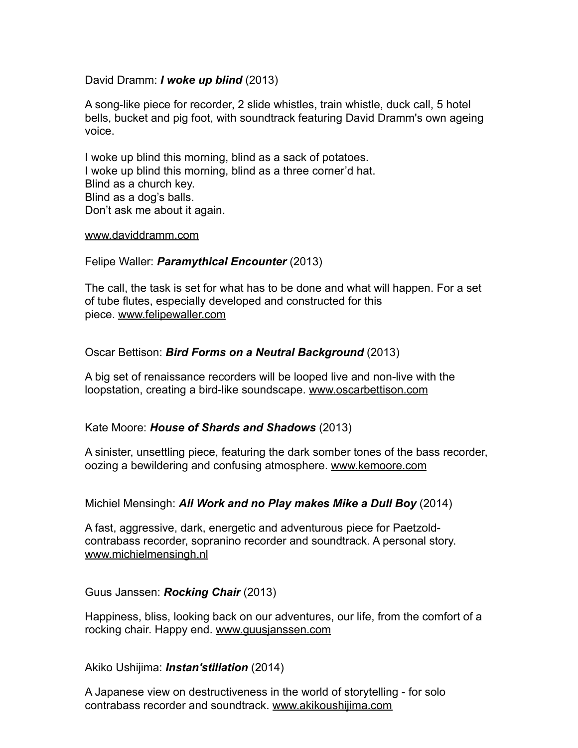#### David Dramm: *I woke up blind* (2013)

A song-like piece for recorder, 2 slide whistles, train whistle, duck call, 5 hotel bells, bucket and pig foot, with soundtrack featuring David Dramm's own ageing voice.

I woke up blind this morning, blind as a sack of potatoes. I woke up blind this morning, blind as a three corner'd hat. Blind as a church key. Blind as a dog's balls. Don't ask me about it again.

#### [www.daviddramm.com](http://daviddramm.com/)

#### Felipe Waller: *Paramythical Encounter* (2013)

The call, the task is set for what has to be done and what will happen. For a set of tube flutes, especially developed and constructed for this piece. [www.felipewaller.com](http://felipewaller.com/)

#### Oscar Bettison: *Bird Forms on a Neutral Background* (2013)

A big set of renaissance recorders will be looped live and non-live with the loopstation, creating a bird-like soundscape. [www.oscarbettison.com](http://www.oscarbettison.com/)

#### Kate Moore: *House of Shards and Shadows* (2013)

A sinister, unsettling piece, featuring the dark somber tones of the bass recorder, oozing a bewildering and confusing atmosphere. [www.kemoore.com](http://www.kemoore.com/)

Michiel Mensingh: *All Work and no Play makes Mike a Dull Boy* (2014)

A fast, aggressive, dark, energetic and adventurous piece for Paetzoldcontrabass recorder, sopranino recorder and soundtrack. A personal story. [www.michielmensingh.nl](http://www.michielmensingh.nl/)

Guus Janssen: *Rocking Chair* (2013)

Happiness, bliss, looking back on our adventures, our life, from the comfort of a rocking chair. Happy end. [www.guusjanssen.com](http://www.guusjanssen.com/)

Akiko Ushijima: *Instan'stillation* (2014)

A Japanese view on destructiveness in the world of storytelling - for solo contrabass recorder and soundtrack. [www.akikoushijima.com](http://akikoushijima.com/)